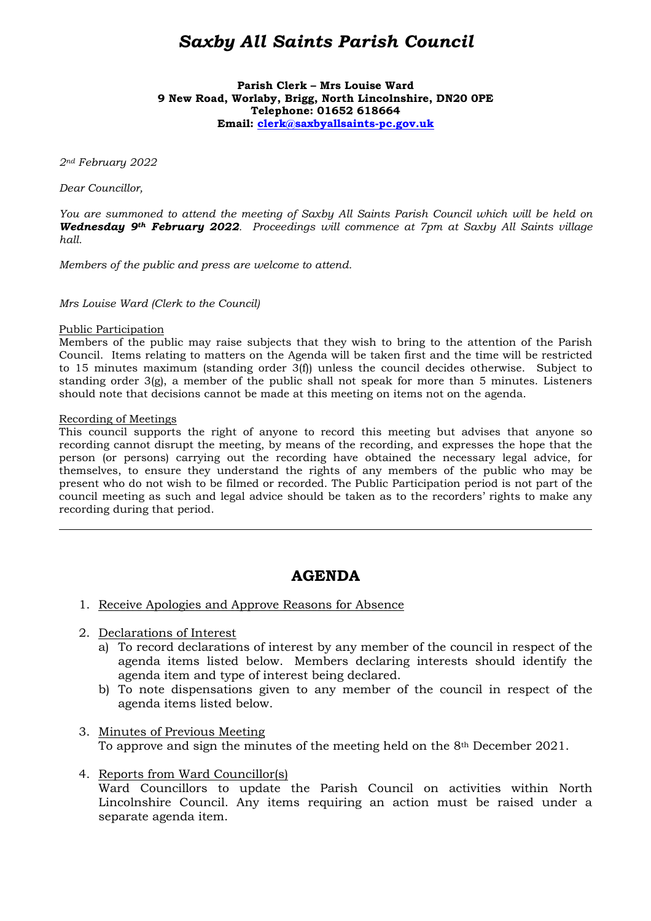# *Saxby All Saints Parish Council*

**Parish Clerk – Mrs Louise Ward 9 New Road, Worlaby, Brigg, North Lincolnshire, DN20 0PE Telephone: 01652 618664 Email: clerk@saxbyallsaints-pc.gov.uk**

*2nd February 2022* 

*Dear Councillor,* 

*You are summoned to attend the meeting of Saxby All Saints Parish Council which will be held on Wednesday 9th February 2022. Proceedings will commence at 7pm at Saxby All Saints village hall.* 

*Members of the public and press are welcome to attend.* 

*Mrs Louise Ward (Clerk to the Council)* 

#### Public Participation

Members of the public may raise subjects that they wish to bring to the attention of the Parish Council. Items relating to matters on the Agenda will be taken first and the time will be restricted to 15 minutes maximum (standing order 3(f)) unless the council decides otherwise. Subject to standing order 3(g), a member of the public shall not speak for more than 5 minutes. Listeners should note that decisions cannot be made at this meeting on items not on the agenda.

#### Recording of Meetings

 $\overline{a}$ 

This council supports the right of anyone to record this meeting but advises that anyone so recording cannot disrupt the meeting, by means of the recording, and expresses the hope that the person (or persons) carrying out the recording have obtained the necessary legal advice, for themselves, to ensure they understand the rights of any members of the public who may be present who do not wish to be filmed or recorded. The Public Participation period is not part of the council meeting as such and legal advice should be taken as to the recorders' rights to make any recording during that period.

# **AGENDA**

- 1. Receive Apologies and Approve Reasons for Absence
- 2. Declarations of Interest
	- a) To record declarations of interest by any member of the council in respect of the agenda items listed below. Members declaring interests should identify the agenda item and type of interest being declared.
	- b) To note dispensations given to any member of the council in respect of the agenda items listed below.
- 3. Minutes of Previous Meeting To approve and sign the minutes of the meeting held on the 8th December 2021.
- 4. Reports from Ward Councillor(s) Ward Councillors to update the Parish Council on activities within North Lincolnshire Council. Any items requiring an action must be raised under a separate agenda item.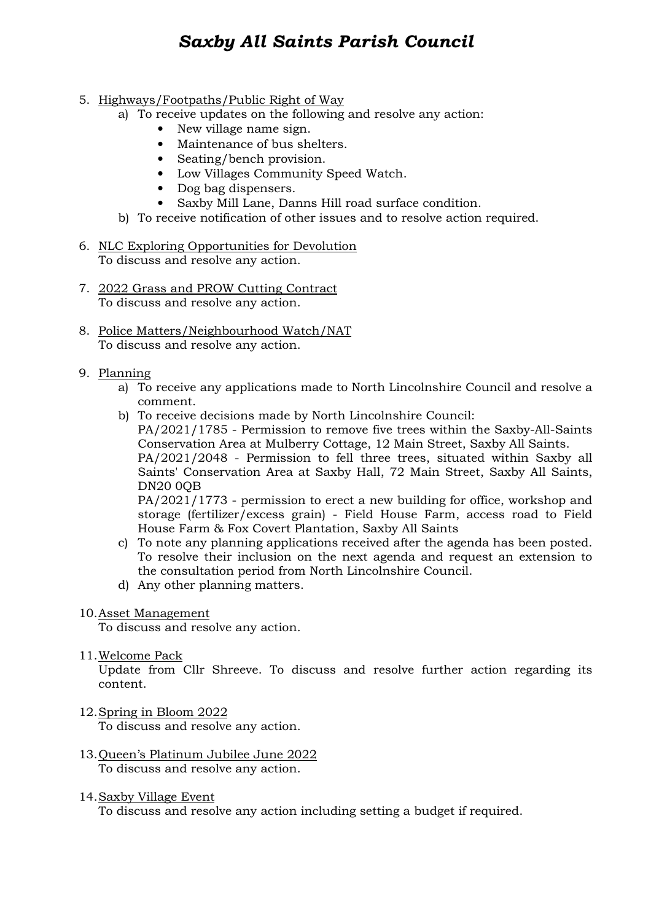# *Saxby All Saints Parish Council*

# 5. Highways/Footpaths/Public Right of Way

- a) To receive updates on the following and resolve any action:
	- New village name sign.
	- Maintenance of bus shelters.
	- Seating/bench provision.
	- Low Villages Community Speed Watch.
	- Dog bag dispensers.
	- Saxby Mill Lane, Danns Hill road surface condition.
- b) To receive notification of other issues and to resolve action required.
- 6. NLC Exploring Opportunities for Devolution To discuss and resolve any action.
- 7. 2022 Grass and PROW Cutting Contract To discuss and resolve any action.
- 8. Police Matters/Neighbourhood Watch/NAT To discuss and resolve any action.
- 9. Planning
	- a) To receive any applications made to North Lincolnshire Council and resolve a comment.
	- b) To receive decisions made by North Lincolnshire Council: PA/2021/1785 - Permission to remove five trees within the Saxby-All-Saints Conservation Area at Mulberry Cottage, 12 Main Street, Saxby All Saints. PA/2021/2048 - Permission to fell three trees, situated within Saxby all Saints' Conservation Area at Saxby Hall, 72 Main Street, Saxby All Saints, DN20 0QB PA/2021/1773 - permission to erect a new building for office, workshop and

storage (fertilizer/excess grain) - Field House Farm, access road to Field House Farm & Fox Covert Plantation, Saxby All Saints

- c) To note any planning applications received after the agenda has been posted. To resolve their inclusion on the next agenda and request an extension to the consultation period from North Lincolnshire Council.
- d) Any other planning matters.

# 10.Asset Management

To discuss and resolve any action.

11.Welcome Pack

Update from Cllr Shreeve. To discuss and resolve further action regarding its content.

# 12.Spring in Bloom 2022

To discuss and resolve any action.

- 13.Queen's Platinum Jubilee June 2022 To discuss and resolve any action.
- 14.Saxby Village Event

To discuss and resolve any action including setting a budget if required.